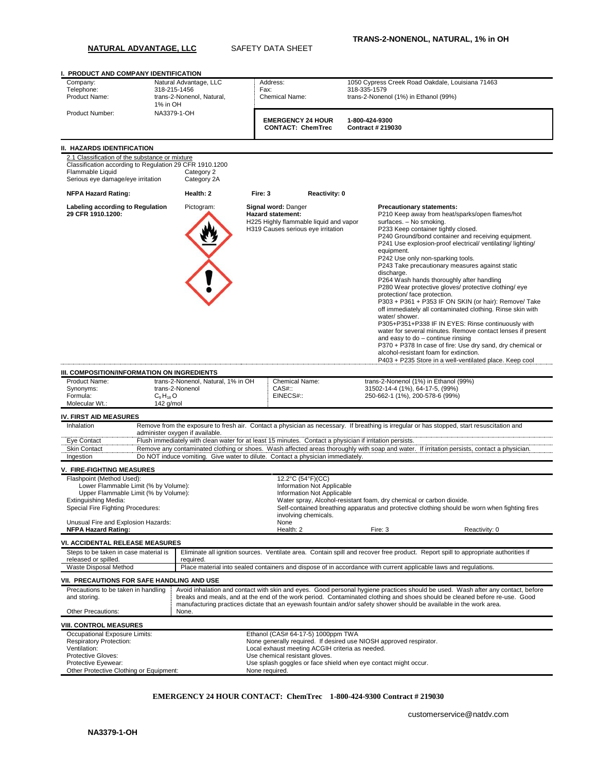## **NATURAL ADVANTAGE, LLC** SAFETY DATA SHEET

| Company:                                                                          | I. PRODUCT AND COMPANY IDENTIFICATION<br>Natural Advantage, LLC |                                                                                                                                                                  |                | Address:                                                                                                |                                       | 1050 Cypress Creek Road Oakdale, Louisiana 71463                                                                                                                                                                                                                                                                                                                                                                                                                                                                                                                                                                                                                                                                                                                                                                                                                                                                                                                                                                |  |  |  |
|-----------------------------------------------------------------------------------|-----------------------------------------------------------------|------------------------------------------------------------------------------------------------------------------------------------------------------------------|----------------|---------------------------------------------------------------------------------------------------------|---------------------------------------|-----------------------------------------------------------------------------------------------------------------------------------------------------------------------------------------------------------------------------------------------------------------------------------------------------------------------------------------------------------------------------------------------------------------------------------------------------------------------------------------------------------------------------------------------------------------------------------------------------------------------------------------------------------------------------------------------------------------------------------------------------------------------------------------------------------------------------------------------------------------------------------------------------------------------------------------------------------------------------------------------------------------|--|--|--|
| Telephone:                                                                        | 318-215-1456                                                    |                                                                                                                                                                  |                | Fax:                                                                                                    |                                       | 318-335-1579                                                                                                                                                                                                                                                                                                                                                                                                                                                                                                                                                                                                                                                                                                                                                                                                                                                                                                                                                                                                    |  |  |  |
| Product Name:                                                                     |                                                                 | trans-2-Nonenol, Natural,                                                                                                                                        |                | <b>Chemical Name:</b>                                                                                   | trans-2-Nonenol (1%) in Ethanol (99%) |                                                                                                                                                                                                                                                                                                                                                                                                                                                                                                                                                                                                                                                                                                                                                                                                                                                                                                                                                                                                                 |  |  |  |
| Product Number:                                                                   | 1% in OH                                                        | NA3379-1-OH                                                                                                                                                      |                |                                                                                                         |                                       |                                                                                                                                                                                                                                                                                                                                                                                                                                                                                                                                                                                                                                                                                                                                                                                                                                                                                                                                                                                                                 |  |  |  |
|                                                                                   |                                                                 |                                                                                                                                                                  |                | <b>EMERGENCY 24 HOUR</b><br><b>CONTACT: ChemTrec</b>                                                    |                                       | 1-800-424-9300<br>Contract # 219030                                                                                                                                                                                                                                                                                                                                                                                                                                                                                                                                                                                                                                                                                                                                                                                                                                                                                                                                                                             |  |  |  |
|                                                                                   |                                                                 |                                                                                                                                                                  |                |                                                                                                         |                                       |                                                                                                                                                                                                                                                                                                                                                                                                                                                                                                                                                                                                                                                                                                                                                                                                                                                                                                                                                                                                                 |  |  |  |
| II. HAZARDS IDENTIFICATION<br>2.1 Classification of the substance or mixture      |                                                                 |                                                                                                                                                                  |                |                                                                                                         |                                       |                                                                                                                                                                                                                                                                                                                                                                                                                                                                                                                                                                                                                                                                                                                                                                                                                                                                                                                                                                                                                 |  |  |  |
| Classification according to Regulation 29 CFR 1910.1200<br>Flammable Liquid       |                                                                 | Category 2                                                                                                                                                       |                |                                                                                                         |                                       |                                                                                                                                                                                                                                                                                                                                                                                                                                                                                                                                                                                                                                                                                                                                                                                                                                                                                                                                                                                                                 |  |  |  |
| Serious eye damage/eye irritation                                                 |                                                                 | Category 2A                                                                                                                                                      |                |                                                                                                         |                                       |                                                                                                                                                                                                                                                                                                                                                                                                                                                                                                                                                                                                                                                                                                                                                                                                                                                                                                                                                                                                                 |  |  |  |
| <b>NFPA Hazard Rating:</b><br>Labeling according to Regulation                    |                                                                 | Health: 2<br>Pictogram:                                                                                                                                          | Fire: 3        | Reactivity: 0<br>Signal word: Danger                                                                    |                                       | <b>Precautionary statements:</b>                                                                                                                                                                                                                                                                                                                                                                                                                                                                                                                                                                                                                                                                                                                                                                                                                                                                                                                                                                                |  |  |  |
| 29 CFR 1910.1200:<br>III. COMPOSITION/INFORMATION ON INGREDIENTS<br>Product Name: |                                                                 | <b>Hazard statement:</b><br>H225 Highly flammable liquid and vapor<br>H319 Causes serious eye irritation<br>trans-2-Nonenol, Natural, 1% in OH<br>Chemical Name: |                |                                                                                                         |                                       | P210 Keep away from heat/sparks/open flames/hot<br>surfaces. - No smoking.<br>P233 Keep container tightly closed.<br>P240 Ground/bond container and receiving equipment.<br>P241 Use explosion-proof electrical/ventilating/lighting/<br>equipment.<br>P242 Use only non-sparking tools.<br>P243 Take precautionary measures against static<br>discharge.<br>P264 Wash hands thoroughly after handling<br>P280 Wear protective gloves/ protective clothing/ eye<br>protection/ face protection.<br>P303 + P361 + P353 IF ON SKIN (or hair): Remove/ Take<br>off immediately all contaminated clothing. Rinse skin with<br>water/shower.<br>P305+P351+P338 IF IN EYES: Rinse continuously with<br>water for several minutes. Remove contact lenses if present<br>and easy to $do$ – continue rinsing<br>P370 + P378 In case of fire: Use dry sand, dry chemical or<br>alcohol-resistant foam for extinction.<br>P403 + P235 Store in a well-ventilated place. Keep cool<br>trans-2-Nonenol (1%) in Ethanol (99%) |  |  |  |
| Synonyms:                                                                         |                                                                 | trans-2-Nonenol                                                                                                                                                  |                | $CAS#$ :                                                                                                |                                       | 31502-14-4 (1%), 64-17-5, (99%)                                                                                                                                                                                                                                                                                                                                                                                                                                                                                                                                                                                                                                                                                                                                                                                                                                                                                                                                                                                 |  |  |  |
| Formula:<br>Molecular Wt.:                                                        | $C_9H_{18}O$<br>142 g/mol                                       |                                                                                                                                                                  |                | EINECS#::                                                                                               |                                       | 250-662-1 (1%), 200-578-6 (99%)                                                                                                                                                                                                                                                                                                                                                                                                                                                                                                                                                                                                                                                                                                                                                                                                                                                                                                                                                                                 |  |  |  |
|                                                                                   |                                                                 |                                                                                                                                                                  |                |                                                                                                         |                                       |                                                                                                                                                                                                                                                                                                                                                                                                                                                                                                                                                                                                                                                                                                                                                                                                                                                                                                                                                                                                                 |  |  |  |
| <b>IV. FIRST AID MEASURES</b><br>Inhalation                                       |                                                                 |                                                                                                                                                                  |                |                                                                                                         |                                       | Remove from the exposure to fresh air. Contact a physician as necessary. If breathing is irregular or has stopped, start resuscitation and                                                                                                                                                                                                                                                                                                                                                                                                                                                                                                                                                                                                                                                                                                                                                                                                                                                                      |  |  |  |
|                                                                                   |                                                                 | administer oxygen if available.                                                                                                                                  |                |                                                                                                         |                                       |                                                                                                                                                                                                                                                                                                                                                                                                                                                                                                                                                                                                                                                                                                                                                                                                                                                                                                                                                                                                                 |  |  |  |
| Eye Contact<br><b>Skin Contact</b>                                                |                                                                 |                                                                                                                                                                  |                | Flush immediately with clean water for at least 15 minutes. Contact a physician if irritation persists. |                                       | Remove any contaminated clothing or shoes. Wash affected areas thoroughly with soap and water. If irritation persists, contact a physician.                                                                                                                                                                                                                                                                                                                                                                                                                                                                                                                                                                                                                                                                                                                                                                                                                                                                     |  |  |  |
| Ingestion                                                                         |                                                                 |                                                                                                                                                                  |                | Do NOT induce vomiting. Give water to dilute. Contact a physician immediately.                          |                                       |                                                                                                                                                                                                                                                                                                                                                                                                                                                                                                                                                                                                                                                                                                                                                                                                                                                                                                                                                                                                                 |  |  |  |
| <b>V. FIRE-FIGHTING MEASURES</b>                                                  |                                                                 |                                                                                                                                                                  |                |                                                                                                         |                                       |                                                                                                                                                                                                                                                                                                                                                                                                                                                                                                                                                                                                                                                                                                                                                                                                                                                                                                                                                                                                                 |  |  |  |
| Flashpoint (Method Used):                                                         |                                                                 |                                                                                                                                                                  |                | 12.2°C (54°F)(CC)                                                                                       |                                       |                                                                                                                                                                                                                                                                                                                                                                                                                                                                                                                                                                                                                                                                                                                                                                                                                                                                                                                                                                                                                 |  |  |  |
| Lower Flammable Limit (% by Volume):                                              |                                                                 |                                                                                                                                                                  |                | Information Not Applicable                                                                              |                                       |                                                                                                                                                                                                                                                                                                                                                                                                                                                                                                                                                                                                                                                                                                                                                                                                                                                                                                                                                                                                                 |  |  |  |
| Upper Flammable Limit (% by Volume):                                              |                                                                 |                                                                                                                                                                  |                | Information Not Applicable                                                                              |                                       |                                                                                                                                                                                                                                                                                                                                                                                                                                                                                                                                                                                                                                                                                                                                                                                                                                                                                                                                                                                                                 |  |  |  |
| Extinguishing Media:                                                              |                                                                 |                                                                                                                                                                  |                |                                                                                                         |                                       | Water spray, Alcohol-resistant foam, dry chemical or carbon dioxide.                                                                                                                                                                                                                                                                                                                                                                                                                                                                                                                                                                                                                                                                                                                                                                                                                                                                                                                                            |  |  |  |
| Special Fire Fighting Procedures:                                                 |                                                                 |                                                                                                                                                                  |                | involving chemicals.                                                                                    |                                       | Self-contained breathing apparatus and protective clothing should be worn when fighting fires                                                                                                                                                                                                                                                                                                                                                                                                                                                                                                                                                                                                                                                                                                                                                                                                                                                                                                                   |  |  |  |
| Unusual Fire and Explosion Hazards:<br><b>NFPA Hazard Rating:</b>                 |                                                                 |                                                                                                                                                                  |                | None<br>Health: 2                                                                                       |                                       | Fire: 3<br>Reactivity: 0                                                                                                                                                                                                                                                                                                                                                                                                                                                                                                                                                                                                                                                                                                                                                                                                                                                                                                                                                                                        |  |  |  |
|                                                                                   |                                                                 |                                                                                                                                                                  |                |                                                                                                         |                                       |                                                                                                                                                                                                                                                                                                                                                                                                                                                                                                                                                                                                                                                                                                                                                                                                                                                                                                                                                                                                                 |  |  |  |
| VI. ACCIDENTAL RELEASE MEASURES<br>Steps to be taken in case material is          |                                                                 |                                                                                                                                                                  |                |                                                                                                         |                                       | Eliminate all ignition sources. Ventilate area. Contain spill and recover free product. Report spill to appropriate authorities if                                                                                                                                                                                                                                                                                                                                                                                                                                                                                                                                                                                                                                                                                                                                                                                                                                                                              |  |  |  |
| released or spilled.                                                              |                                                                 | required.                                                                                                                                                        |                |                                                                                                         |                                       |                                                                                                                                                                                                                                                                                                                                                                                                                                                                                                                                                                                                                                                                                                                                                                                                                                                                                                                                                                                                                 |  |  |  |
| Waste Disposal Method                                                             |                                                                 |                                                                                                                                                                  |                |                                                                                                         |                                       | Place material into sealed containers and dispose of in accordance with current applicable laws and regulations.                                                                                                                                                                                                                                                                                                                                                                                                                                                                                                                                                                                                                                                                                                                                                                                                                                                                                                |  |  |  |
| VII. PRECAUTIONS FOR SAFE HANDLING AND USE                                        |                                                                 |                                                                                                                                                                  |                |                                                                                                         |                                       |                                                                                                                                                                                                                                                                                                                                                                                                                                                                                                                                                                                                                                                                                                                                                                                                                                                                                                                                                                                                                 |  |  |  |
| Precautions to be taken in handling<br>and storing.                               |                                                                 |                                                                                                                                                                  |                |                                                                                                         |                                       | Avoid inhalation and contact with skin and eyes. Good personal hygiene practices should be used. Wash after any contact, before<br>breaks and meals, and at the end of the work period. Contaminated clothing and shoes should be cleaned before re-use. Good                                                                                                                                                                                                                                                                                                                                                                                                                                                                                                                                                                                                                                                                                                                                                   |  |  |  |
| <b>Other Precautions:</b>                                                         |                                                                 | None.                                                                                                                                                            |                |                                                                                                         |                                       | manufacturing practices dictate that an eyewash fountain and/or safety shower should be available in the work area.                                                                                                                                                                                                                                                                                                                                                                                                                                                                                                                                                                                                                                                                                                                                                                                                                                                                                             |  |  |  |
| <b>VIII. CONTROL MEASURES</b>                                                     |                                                                 |                                                                                                                                                                  |                |                                                                                                         |                                       |                                                                                                                                                                                                                                                                                                                                                                                                                                                                                                                                                                                                                                                                                                                                                                                                                                                                                                                                                                                                                 |  |  |  |
| Occupational Exposure Limits:                                                     |                                                                 |                                                                                                                                                                  |                | Ethanol (CAS# 64-17-5) 1000ppm TWA                                                                      |                                       |                                                                                                                                                                                                                                                                                                                                                                                                                                                                                                                                                                                                                                                                                                                                                                                                                                                                                                                                                                                                                 |  |  |  |
| <b>Respiratory Protection:</b>                                                    |                                                                 |                                                                                                                                                                  |                |                                                                                                         |                                       | None generally required. If desired use NIOSH approved respirator.                                                                                                                                                                                                                                                                                                                                                                                                                                                                                                                                                                                                                                                                                                                                                                                                                                                                                                                                              |  |  |  |
| Ventilation:                                                                      |                                                                 |                                                                                                                                                                  |                | Local exhaust meeting ACGIH criteria as needed.                                                         |                                       |                                                                                                                                                                                                                                                                                                                                                                                                                                                                                                                                                                                                                                                                                                                                                                                                                                                                                                                                                                                                                 |  |  |  |
| Protective Gloves:<br>Protective Eyewear:                                         |                                                                 |                                                                                                                                                                  |                | Use chemical resistant gloves.<br>Use splash goggles or face shield when eye contact might occur.       |                                       |                                                                                                                                                                                                                                                                                                                                                                                                                                                                                                                                                                                                                                                                                                                                                                                                                                                                                                                                                                                                                 |  |  |  |
| Other Protective Clothing or Equipment:                                           |                                                                 |                                                                                                                                                                  | None required. |                                                                                                         |                                       |                                                                                                                                                                                                                                                                                                                                                                                                                                                                                                                                                                                                                                                                                                                                                                                                                                                                                                                                                                                                                 |  |  |  |

#### **EMERGENCY 24 HOUR CONTACT: ChemTrec 1-800-424-9300 Contract # 219030**